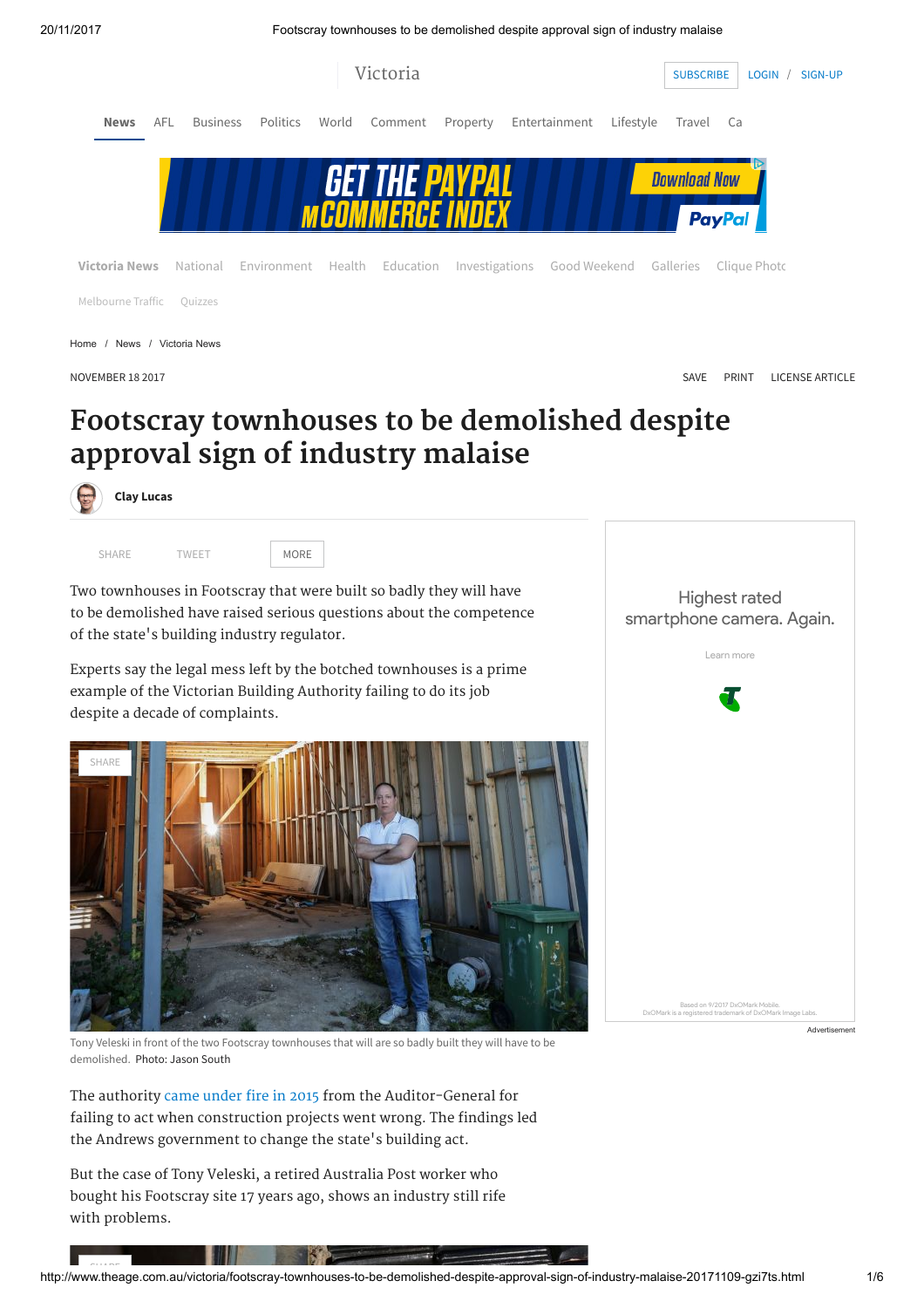20/11/2017 Footscray townhouses to be demolished despite approval sign of industry malaise



# Footscray townhouses to be demolished despite approval sign of industry malaise



Two townhouses in Footscray that were built so badly they will have to be demolished have raised serious questions about the competence of the state's building industry regulator.

Experts say the legal mess left by the botched townhouses is a prime example of the Victorian Building Authority failing to do its job despite a decade of complaints.



Tony Veleski in front of the two Footscray townhouses that will are so badly built they will have to be demolished. Photo: Jason South

The authority [came under fire in 2015](https://www.audit.vic.gov.au/sites/default/files/20150528-Consumer-Protection.pdf) from the Auditor-General for failing to act when construction projects went wrong. The findings led the Andrews government to change the state's building act.

But the case of Tony Veleski, a retired Australia Post worker who bought his Footscray site 17 years ago, shows an industry still rife with problems.

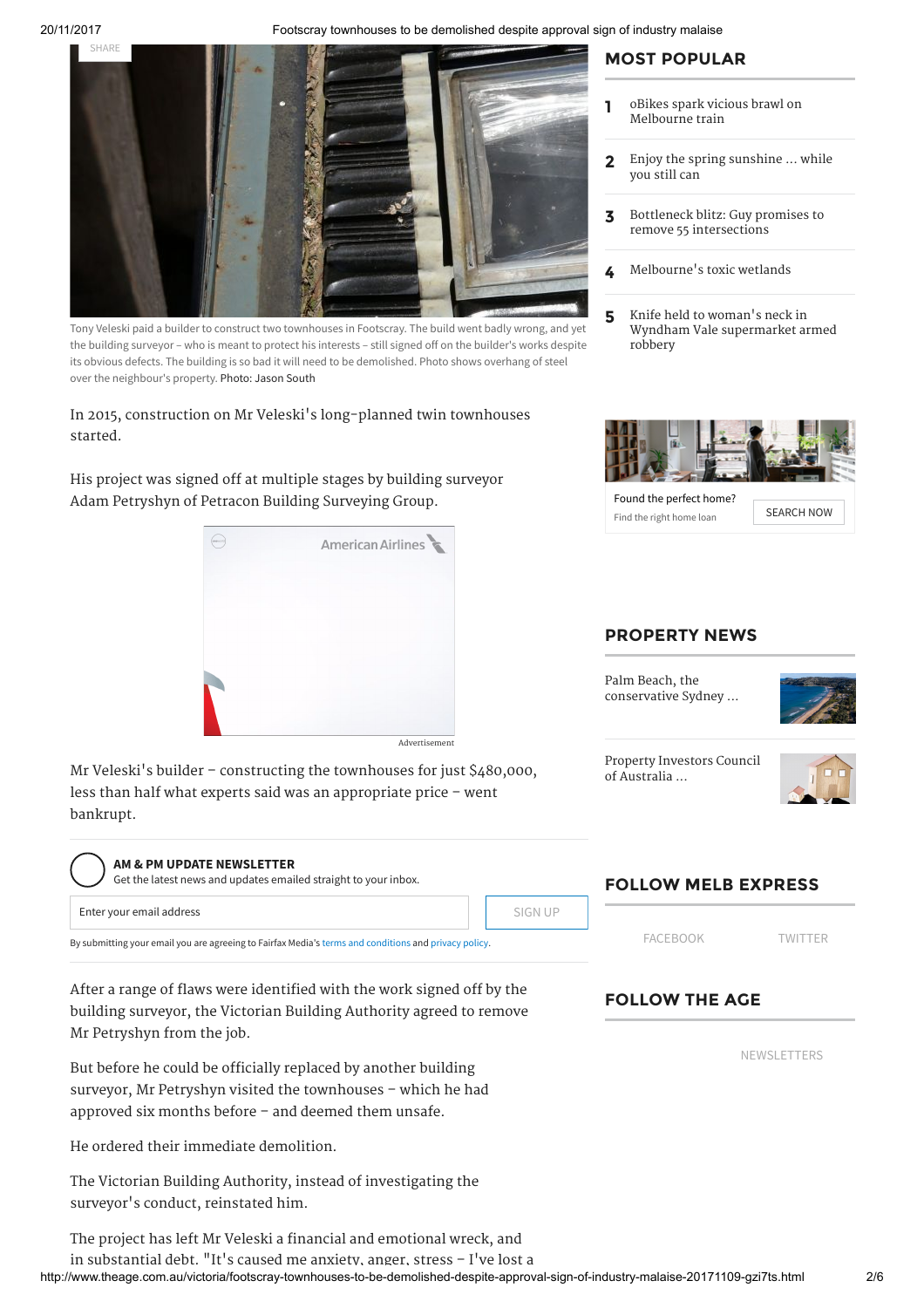20/11/2017 Footscray townhouses to be demolished despite approval sign of industry malaise



Tony Veleski paid a builder to construct two townhouses in Footscray. The build went badly wrong, and yet the building surveyor – who is meant to protect his interests – still signed off on the builder's works despite its obvious defects. The building is so bad it will need to be demolished. Photo shows overhang of steel over the neighbour's property. Photo: Jason South

In 2015, construction on Mr Veleski's long-planned twin townhouses started.

His project was signed off at multiple stages by building surveyor Adam Petryshyn of Petracon Building Surveying Group.



Mr Veleski's builder – constructing the townhouses for just \$480,000, less than half what experts said was an appropriate price – went bankrupt.

## AM & PM UPDATE NEWSLETTER

Enter your email address Get the latest news and updates emailed straight to your inbox. SIGN UP

By submitting your email you are agreeing to Fairfax Media's [terms and conditions a](http://www.fairfax.com.au/conditions.html)nd [privacy policy.](http://www.fairfax.com.au/privacy.html)

After a range of flaws were identified with the work signed off by the building surveyor, the Victorian Building Authority agreed to remove Mr Petryshyn from the job.

But before he could be officially replaced by another building surveyor, Mr Petryshyn visited the townhouses – which he had approved six months before – and deemed them unsafe.

He ordered their immediate demolition.

The Victorian Building Authority, instead of investigating the surveyor's conduct, reinstated him.

MOST POPULAR

- 1 [oBikes spark vicious brawl on](http://www.theage.com.au/victoria/obikes-spark-vicious-brawl-on-melbourne-train-20171119-gzomns.html) Melbourne train
- 2 [Enjoy the spring sunshine ... while](http://www.theage.com.au/victoria/melbourne-weather-enjoy-the-spring-sunshine--while-you-still-can-20171119-gzon7e.html) you still can
- 3 [Bottleneck blitz: Guy promises to](http://www.theage.com.au/victoria/bottleneck-blitz-liberals-leader-matthew-guy-promises-to-remove-55-road-intersections-20171119-gzojcr.html) remove 55 intersections
- 4 Melbourne['s toxic wetlands](http://www.theage.com.au/victoria/melbournes-toxic-wetlands-20171119-gzobks.html)
- 5 Knife held to woman's neck in [Wyndham Vale supermarket armed](http://www.theage.com.au/victoria/knife-held-to-womans-neck-in-wyndham-vale-supermarket-armed-robbery-20171119-gzomfr.html) robbery



Found the perfect home? Find the right home loan [SEARCH](https://adclick.g.doubleclick.net/pcs/click?xai=AKAOjsvQeUl-Y5no-MNbC1aA3OqT3-8_Pg1chtyRrDP883AmCIId23v1FbrGd-WwLW8A0UrY5K6GJEg84ctOtuCRsTrW1dB5EmE_7PnRrnaX97Yxwga3-4wwj6mwXlhJJqXIF-dY48aE_n_X61egUPLE3CY29fuxqDcCVVRnimYPw_J8nNvnzXBJlB9Kd03DAzZ-VswZ3XZTGq7yuH6hiN-Uh7BU2DiPapGbODYVaxrOR8yrn7yG4XzvIQjbr93qKWrBw46AfpkSeiYxQO12k3qtwytzm9f-AYVBCWrobZtdEw&sig=Cg0ArKJSzF7UYss3hpqfEAE&urlfix=1&adurl=https://campaigns.echoice.com.au/domain-partners/?utm_source=CompareSave&utm_campaign=Home%20Loans&utm_medium=5&utm_term=Default&utm_content=Lifestyle-Found-SearchNow) NOW

### PROPERTY NEWS

Palm Beach, the [conservative Sydney ...](https://www.domain.com.au/news/palm-beach-the-conservative-sydney-neighbourhood-almost-unchanged-by-time-20171020-gyhuqh/?utm_source=masthead&utm_medium=sidebar&utm_campaign=domainnews)



[Property Investors Council](https://www.domain.com.au/news/property-investors-council-of-australia-lobby-group-launched-to-stop-landlords-being-singled-out-20171020-gz36zr/?utm_source=masthead&utm_medium=sidebar&utm_campaign=domainnews) of Australia ...



# FOLLOW MELB EXPRESS

[FACEBOOK](https://www.facebook.com/melbexpress) [TWITTER](https://twitter.com/melbexpress)

# FOLLOW THE AGE

[NEWSLETTERS](https://membercentre.fairfax.com.au/NewsletterSubscription.aspx)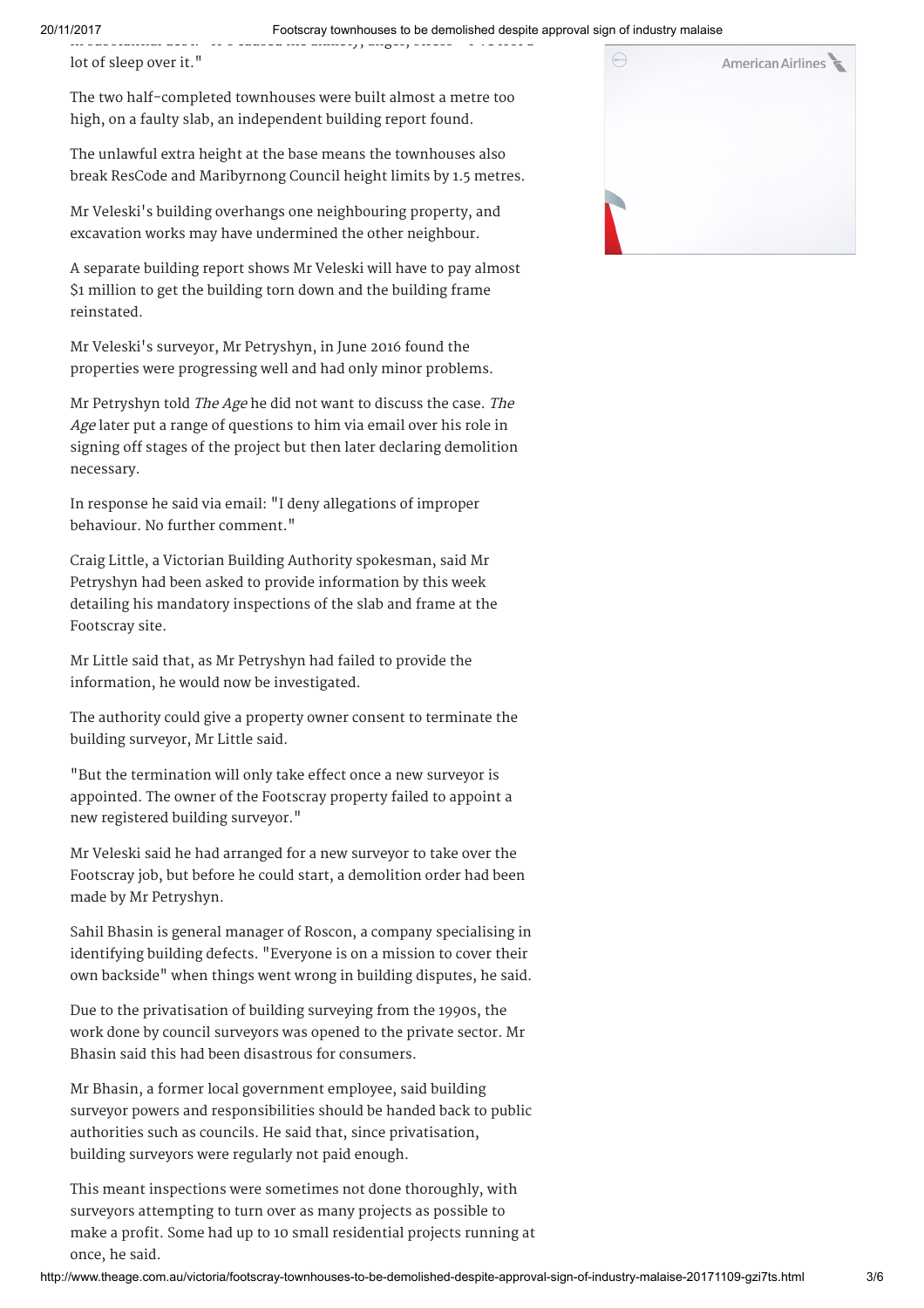in substantial debt. It s caused me anxiety, anger, stress I ve lost a lot of sleep over it."

The two half-completed townhouses were built almost a metre too high, on a faulty slab, an independent building report found.

The unlawful extra height at the base means the townhouses also break ResCode and Maribyrnong Council height limits by 1.5 metres.

Mr Veleski's building overhangs one neighbouring property, and excavation works may have undermined the other neighbour.

A separate building report shows Mr Veleski will have to pay almost \$1 million to get the building torn down and the building frame reinstated.

Mr Veleski's surveyor, Mr Petryshyn, in June 2016 found the properties were progressing well and had only minor problems.

Mr Petryshyn told The Age he did not want to discuss the case. The Age later put a range of questions to him via email over his role in signing off stages of the project but then later declaring demolition necessary.

In response he said via email: "I deny allegations of improper behaviour. No further comment."

Craig Little, a Victorian Building Authority spokesman, said Mr Petryshyn had been asked to provide information by this week detailing his mandatory inspections of the slab and frame at the Footscray site.

Mr Little said that, as Mr Petryshyn had failed to provide the information, he would now be investigated.

The authority could give a property owner consent to terminate the building surveyor, Mr Little said.

"But the termination will only take effect once a new surveyor is appointed. The owner of the Footscray property failed to appoint a new registered building surveyor."

Mr Veleski said he had arranged for a new surveyor to take over the Footscray job, but before he could start, a demolition order had been made by Mr Petryshyn.

Sahil Bhasin is general manager of Roscon, a company specialising in identifying building defects. "Everyone is on a mission to cover their own backside" when things went wrong in building disputes, he said.

Due to the privatisation of building surveying from the 1990s, the work done by council surveyors was opened to the private sector. Mr Bhasin said this had been disastrous for consumers.

Mr Bhasin, a former local government employee, said building surveyor powers and responsibilities should be handed back to public authorities such as councils. He said that, since privatisation, building surveyors were regularly not paid enough.

This meant inspections were sometimes not done thoroughly, with surveyors attempting to turn over as many projects as possible to make a profit. Some had up to 10 small residential projects running at once, he said.